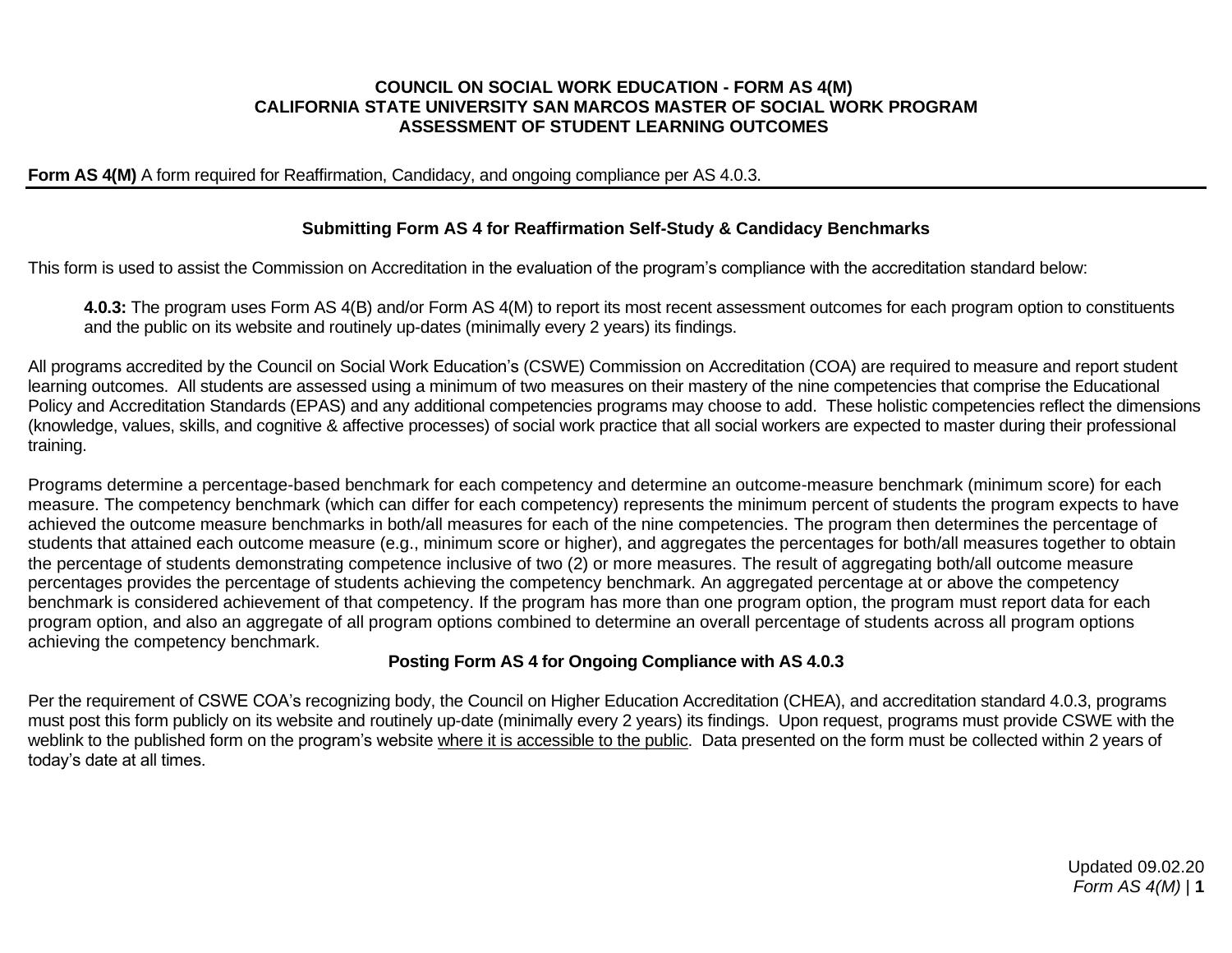#### **COUNCIL ON SOCIAL WORK EDUCATION - FORM AS 4(M) CALIFORNIA STATE UNIVERSITY SAN MARCOS MASTER OF SOCIAL WORK PROGRAM ASSESSMENT OF STUDENT LEARNING OUTCOMES**

#### **Form AS 4(M)** A form required for Reaffirmation, Candidacy, and ongoing compliance per AS 4.0.3.

### **Submitting Form AS 4 for Reaffirmation Self-Study & Candidacy Benchmarks**

This form is used to assist the Commission on Accreditation in the evaluation of the program's compliance with the accreditation standard below:

**4.0.3:** The program uses Form AS 4(B) and/or Form AS 4(M) to report its most recent assessment outcomes for each program option to constituents and the public on its website and routinely up-dates (minimally every 2 years) its findings.

All programs accredited by the Council on Social Work Education's (CSWE) Commission on Accreditation (COA) are required to measure and report student learning outcomes. All students are assessed using a minimum of two measures on their mastery of the nine competencies that comprise the Educational Policy and Accreditation Standards (EPAS) and any additional competencies programs may choose to add. These holistic competencies reflect the dimensions (knowledge, values, skills, and cognitive & affective processes) of social work practice that all social workers are expected to master during their professional training.

Programs determine a percentage-based benchmark for each competency and determine an outcome-measure benchmark (minimum score) for each measure. The competency benchmark (which can differ for each competency) represents the minimum percent of students the program expects to have achieved the outcome measure benchmarks in both/all measures for each of the nine competencies. The program then determines the percentage of students that attained each outcome measure (e.g., minimum score or higher), and aggregates the percentages for both/all measures together to obtain the percentage of students demonstrating competence inclusive of two (2) or more measures. The result of aggregating both/all outcome measure percentages provides the percentage of students achieving the competency benchmark. An aggregated percentage at or above the competency benchmark is considered achievement of that competency. If the program has more than one program option, the program must report data for each program option, and also an aggregate of all program options combined to determine an overall percentage of students across all program options achieving the competency benchmark.

### **Posting Form AS 4 for Ongoing Compliance with AS 4.0.3**

Per the requirement of CSWE COA's recognizing body, the Council on Higher Education Accreditation (CHEA), and accreditation standard 4.0.3, programs must post this form publicly on its website and routinely up-date (minimally every 2 years) its findings. Upon request, programs must provide CSWE with the weblink to the published form on the program's website where it is accessible to the public. Data presented on the form must be collected within 2 years of today's date at all times.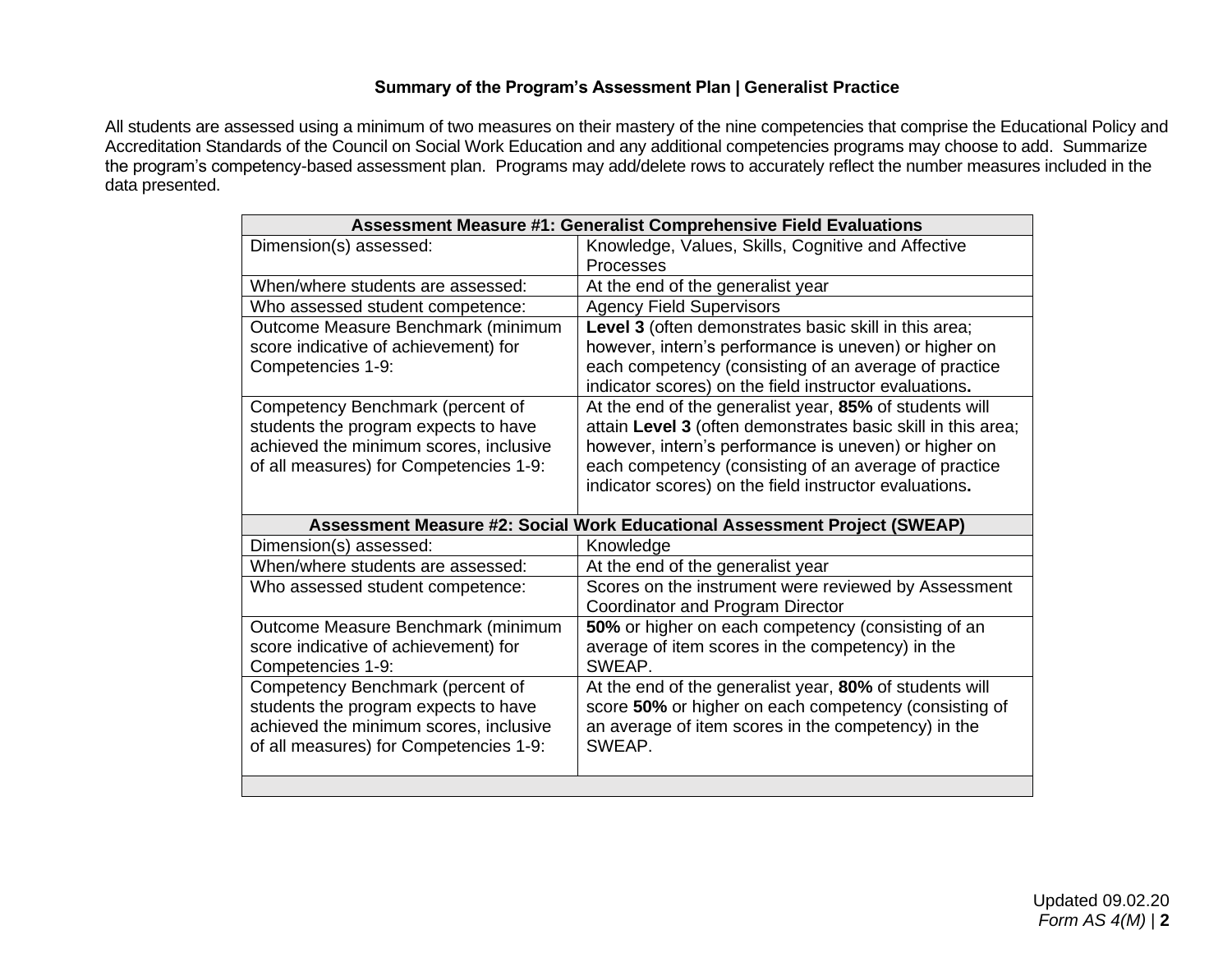## **Summary of the Program's Assessment Plan | Generalist Practice**

All students are assessed using a minimum of two measures on their mastery of the nine competencies that comprise the Educational Policy and Accreditation Standards of the Council on Social Work Education and any additional competencies programs may choose to add. Summarize the program's competency-based assessment plan. Programs may add/delete rows to accurately reflect the number measures included in the data presented.

| <b>Assessment Measure #1: Generalist Comprehensive Field Evaluations</b> |                                                                           |  |  |  |  |  |
|--------------------------------------------------------------------------|---------------------------------------------------------------------------|--|--|--|--|--|
| Dimension(s) assessed:                                                   | Knowledge, Values, Skills, Cognitive and Affective                        |  |  |  |  |  |
|                                                                          | <b>Processes</b>                                                          |  |  |  |  |  |
| When/where students are assessed:                                        | At the end of the generalist year                                         |  |  |  |  |  |
| Who assessed student competence:                                         | <b>Agency Field Supervisors</b>                                           |  |  |  |  |  |
| Outcome Measure Benchmark (minimum                                       | Level 3 (often demonstrates basic skill in this area;                     |  |  |  |  |  |
| score indicative of achievement) for                                     | however, intern's performance is uneven) or higher on                     |  |  |  |  |  |
| Competencies 1-9:                                                        | each competency (consisting of an average of practice                     |  |  |  |  |  |
|                                                                          | indicator scores) on the field instructor evaluations.                    |  |  |  |  |  |
| Competency Benchmark (percent of                                         | At the end of the generalist year, 85% of students will                   |  |  |  |  |  |
| students the program expects to have                                     | attain Level 3 (often demonstrates basic skill in this area;              |  |  |  |  |  |
| achieved the minimum scores, inclusive                                   | however, intern's performance is uneven) or higher on                     |  |  |  |  |  |
| of all measures) for Competencies 1-9:                                   | each competency (consisting of an average of practice                     |  |  |  |  |  |
|                                                                          | indicator scores) on the field instructor evaluations.                    |  |  |  |  |  |
|                                                                          |                                                                           |  |  |  |  |  |
|                                                                          | Assessment Measure #2: Social Work Educational Assessment Project (SWEAP) |  |  |  |  |  |
| Dimension(s) assessed:                                                   | Knowledge                                                                 |  |  |  |  |  |
| When/where students are assessed:                                        | At the end of the generalist year                                         |  |  |  |  |  |
| Who assessed student competence:                                         | Scores on the instrument were reviewed by Assessment                      |  |  |  |  |  |
|                                                                          | Coordinator and Program Director                                          |  |  |  |  |  |
| Outcome Measure Benchmark (minimum                                       | 50% or higher on each competency (consisting of an                        |  |  |  |  |  |
| score indicative of achievement) for                                     | average of item scores in the competency) in the                          |  |  |  |  |  |
| Competencies 1-9:                                                        | SWEAP.                                                                    |  |  |  |  |  |
| Competency Benchmark (percent of                                         | At the end of the generalist year, 80% of students will                   |  |  |  |  |  |
| students the program expects to have                                     | score 50% or higher on each competency (consisting of                     |  |  |  |  |  |
| achieved the minimum scores, inclusive                                   | an average of item scores in the competency) in the                       |  |  |  |  |  |
| of all measures) for Competencies 1-9:                                   | SWEAP.                                                                    |  |  |  |  |  |
|                                                                          |                                                                           |  |  |  |  |  |
|                                                                          |                                                                           |  |  |  |  |  |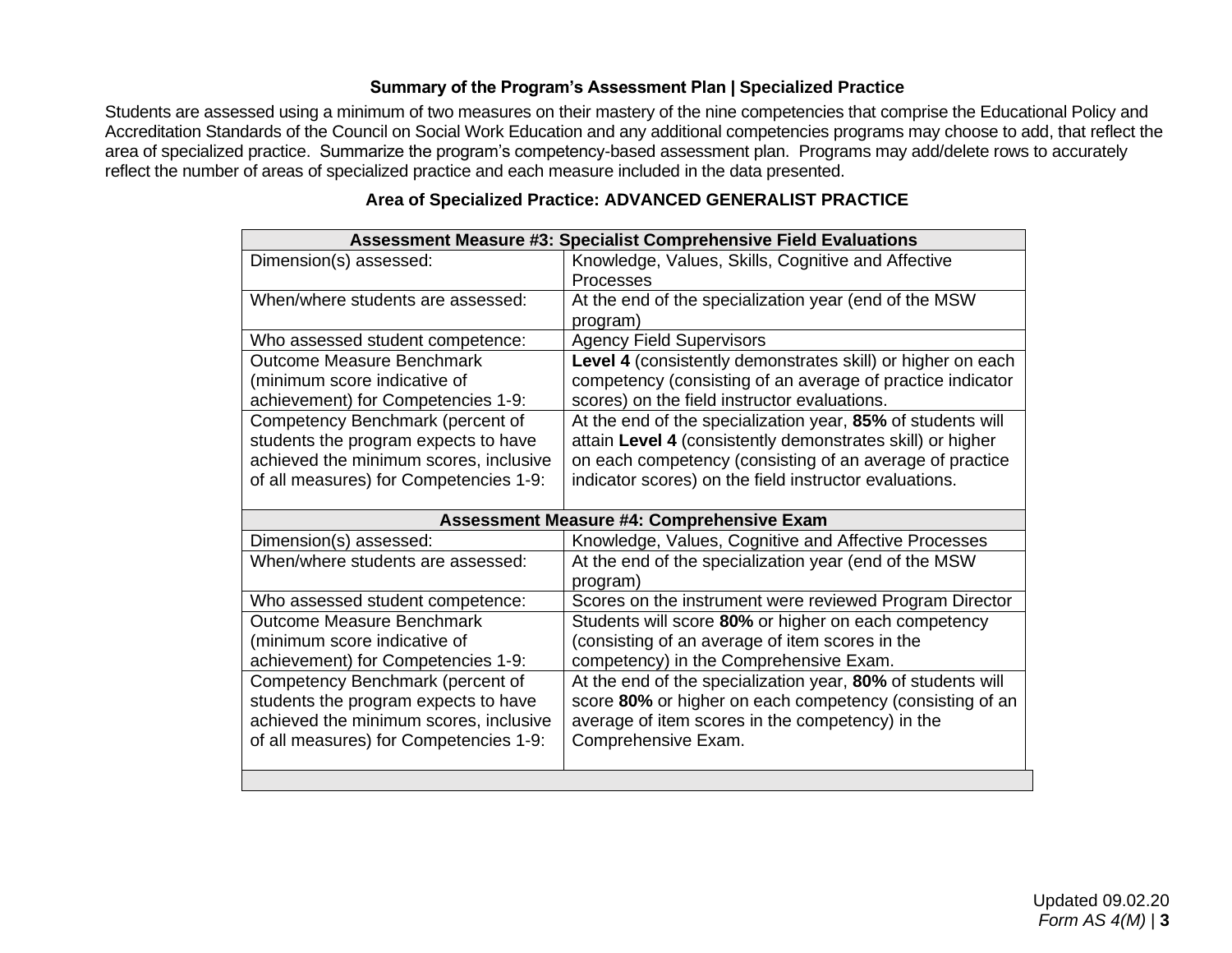## **Summary of the Program's Assessment Plan | Specialized Practice**

Students are assessed using a minimum of two measures on their mastery of the nine competencies that comprise the Educational Policy and Accreditation Standards of the Council on Social Work Education and any additional competencies programs may choose to add, that reflect the area of specialized practice. Summarize the program's competency-based assessment plan. Programs may add/delete rows to accurately reflect the number of areas of specialized practice and each measure included in the data presented.

| <b>Assessment Measure #3: Specialist Comprehensive Field Evaluations</b> |                                                             |  |  |  |  |
|--------------------------------------------------------------------------|-------------------------------------------------------------|--|--|--|--|
| Dimension(s) assessed:                                                   | Knowledge, Values, Skills, Cognitive and Affective          |  |  |  |  |
|                                                                          | Processes                                                   |  |  |  |  |
| When/where students are assessed:                                        | At the end of the specialization year (end of the MSW       |  |  |  |  |
|                                                                          | program)                                                    |  |  |  |  |
| Who assessed student competence:                                         | <b>Agency Field Supervisors</b>                             |  |  |  |  |
| <b>Outcome Measure Benchmark</b>                                         | Level 4 (consistently demonstrates skill) or higher on each |  |  |  |  |
| (minimum score indicative of                                             | competency (consisting of an average of practice indicator  |  |  |  |  |
| achievement) for Competencies 1-9:                                       | scores) on the field instructor evaluations.                |  |  |  |  |
| Competency Benchmark (percent of                                         | At the end of the specialization year, 85% of students will |  |  |  |  |
| students the program expects to have                                     | attain Level 4 (consistently demonstrates skill) or higher  |  |  |  |  |
| achieved the minimum scores, inclusive                                   | on each competency (consisting of an average of practice    |  |  |  |  |
| of all measures) for Competencies 1-9:                                   | indicator scores) on the field instructor evaluations.      |  |  |  |  |
|                                                                          |                                                             |  |  |  |  |
| <b>Assessment Measure #4: Comprehensive Exam</b>                         |                                                             |  |  |  |  |
|                                                                          |                                                             |  |  |  |  |
| Dimension(s) assessed:                                                   | Knowledge, Values, Cognitive and Affective Processes        |  |  |  |  |
| When/where students are assessed:                                        | At the end of the specialization year (end of the MSW       |  |  |  |  |
|                                                                          | program)                                                    |  |  |  |  |
| Who assessed student competence:                                         | Scores on the instrument were reviewed Program Director     |  |  |  |  |
| <b>Outcome Measure Benchmark</b>                                         | Students will score 80% or higher on each competency        |  |  |  |  |
| (minimum score indicative of                                             | (consisting of an average of item scores in the             |  |  |  |  |
| achievement) for Competencies 1-9:                                       | competency) in the Comprehensive Exam.                      |  |  |  |  |
| Competency Benchmark (percent of                                         | At the end of the specialization year, 80% of students will |  |  |  |  |
| students the program expects to have                                     | score 80% or higher on each competency (consisting of an    |  |  |  |  |
| achieved the minimum scores, inclusive                                   | average of item scores in the competency) in the            |  |  |  |  |
| of all measures) for Competencies 1-9:                                   | Comprehensive Exam.                                         |  |  |  |  |
|                                                                          |                                                             |  |  |  |  |

# **Area of Specialized Practice: ADVANCED GENERALIST PRACTICE**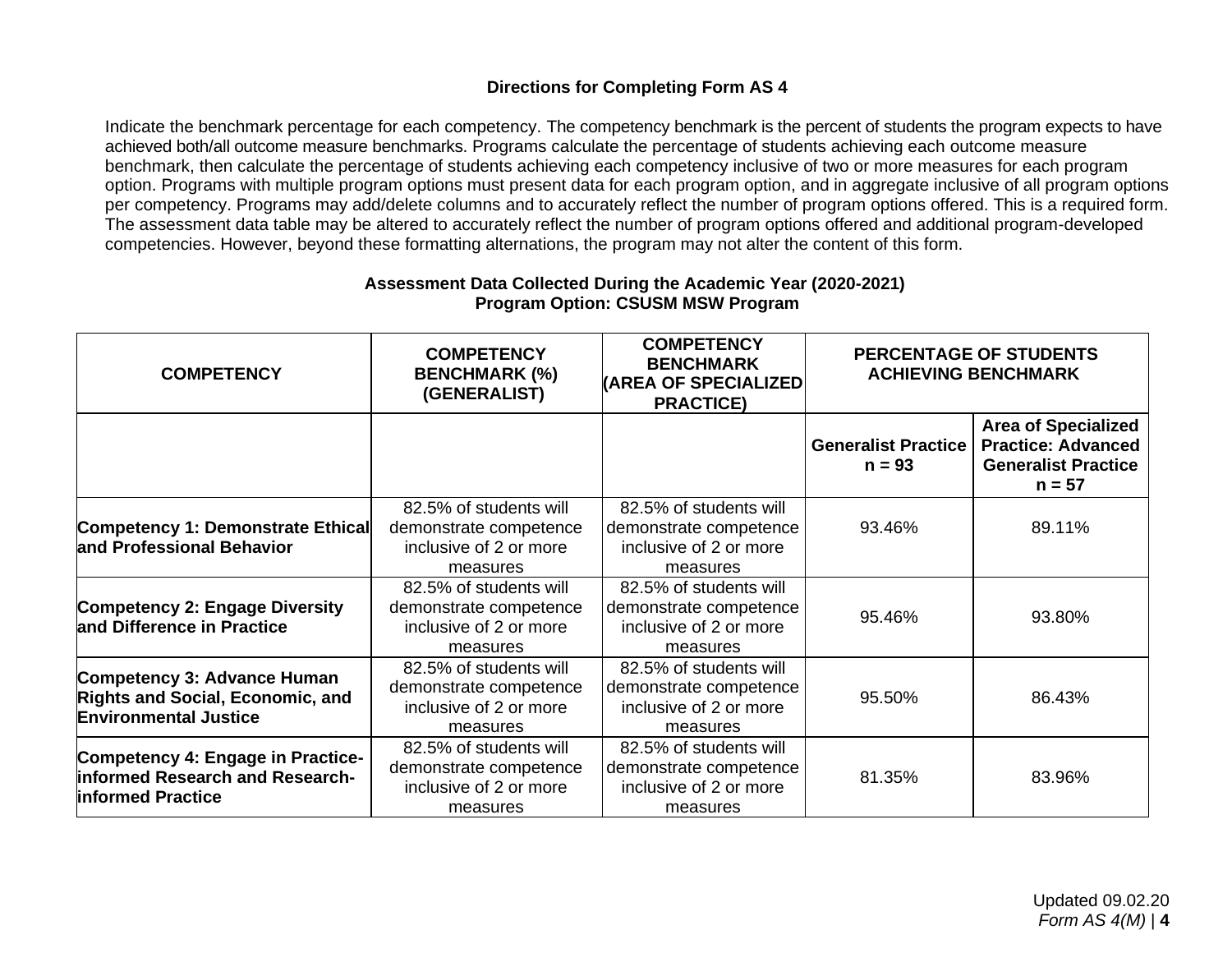# **Directions for Completing Form AS 4**

Indicate the benchmark percentage for each competency. The competency benchmark is the percent of students the program expects to have achieved both/all outcome measure benchmarks. Programs calculate the percentage of students achieving each outcome measure benchmark, then calculate the percentage of students achieving each competency inclusive of two or more measures for each program option. Programs with multiple program options must present data for each program option, and in aggregate inclusive of all program options per competency. Programs may add/delete columns and to accurately reflect the number of program options offered. This is a required form. The assessment data table may be altered to accurately reflect the number of program options offered and additional program-developed competencies. However, beyond these formatting alternations, the program may not alter the content of this form.

| <b>COMPETENCY</b>                                                                                      | <b>COMPETENCY</b><br><b>BENCHMARK (%)</b><br>(GENERALIST)                              | <b>COMPETENCY</b><br><b>BENCHMARK</b><br><b>(AREA OF SPECIALIZED)</b><br><b>PRACTICE)</b> | PERCENTAGE OF STUDENTS<br><b>ACHIEVING BENCHMARK</b> |                                                                                                   |
|--------------------------------------------------------------------------------------------------------|----------------------------------------------------------------------------------------|-------------------------------------------------------------------------------------------|------------------------------------------------------|---------------------------------------------------------------------------------------------------|
|                                                                                                        |                                                                                        |                                                                                           | <b>Generalist Practice</b><br>$n = 93$               | <b>Area of Specialized</b><br><b>Practice: Advanced</b><br><b>Generalist Practice</b><br>$n = 57$ |
| Competency 1: Demonstrate Ethical<br>and Professional Behavior                                         | 82.5% of students will<br>demonstrate competence<br>inclusive of 2 or more<br>measures | 82.5% of students will<br>demonstrate competence<br>inclusive of 2 or more<br>measures    | 93.46%                                               | 89.11%                                                                                            |
| <b>Competency 2: Engage Diversity</b><br>and Difference in Practice                                    | 82.5% of students will<br>demonstrate competence<br>inclusive of 2 or more<br>measures | 82.5% of students will<br>demonstrate competence<br>inclusive of 2 or more<br>measures    | 95.46%                                               | 93.80%                                                                                            |
| Competency 3: Advance Human<br><b>Rights and Social, Economic, and</b><br><b>Environmental Justice</b> | 82.5% of students will<br>demonstrate competence<br>inclusive of 2 or more<br>measures | 82.5% of students will<br>demonstrate competence<br>inclusive of 2 or more<br>measures    | 95.50%                                               | 86.43%                                                                                            |
| Competency 4: Engage in Practice-<br>informed Research and Research-<br><b>Informed Practice</b>       | 82.5% of students will<br>demonstrate competence<br>inclusive of 2 or more<br>measures | 82.5% of students will<br>demonstrate competence<br>inclusive of 2 or more<br>measures    | 81.35%                                               | 83.96%                                                                                            |

## **Assessment Data Collected During the Academic Year (2020-2021) Program Option: CSUSM MSW Program**